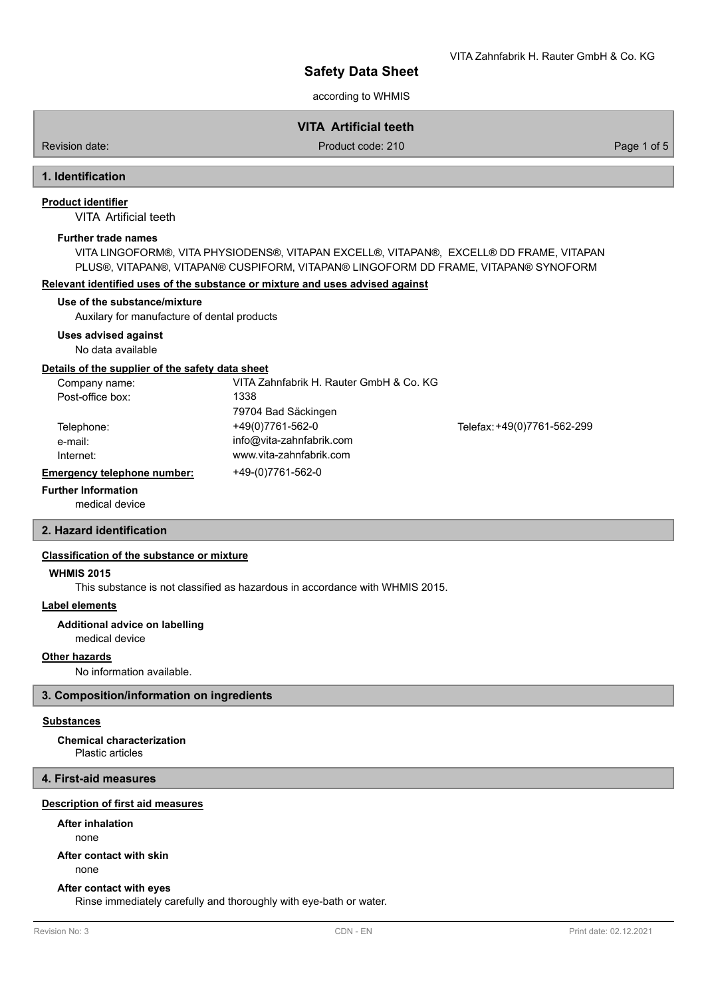VITA Zahnfabrik H. Rauter GmbH & Co. KG

according to WHMIS

# **VITA Artificial teeth**

Revision date: Product code: 210 Product code: 210 Page 1 of 5

# **1. Identification**

## **Product identifier**

VITA Artificial teeth

#### **Further trade names**

VITA LINGOFORM®, VITA PHYSIODENS®, VITAPAN EXCELL®, VITAPAN®, EXCELL® DD FRAME, VITAPAN PLUS®, VITAPAN®, VITAPAN® CUSPIFORM, VITAPAN® LINGOFORM DD FRAME, VITAPAN® SYNOFORM

#### **Relevant identified uses of the substance or mixture and uses advised against**

## **Use of the substance/mixture**

Auxilary for manufacture of dental products

#### **Uses advised against**

No data available

#### **Details of the supplier of the safety data sheet**

| Company name:               | VITA Zahnfabrik H. Rauter GmbH & Co. KG |                             |
|-----------------------------|-----------------------------------------|-----------------------------|
| Post-office box:            | 1338                                    |                             |
|                             | 79704 Bad Säckingen                     |                             |
| Telephone:                  | +49(0)7761-562-0                        | Telefax: +49(0)7761-562-299 |
| e-mail:                     | info@vita-zahnfabrik.com                |                             |
| Internet:                   | www.vita-zahnfabrik.com                 |                             |
| Emergency telephone number: | +49-(0)7761-562-0                       |                             |

#### medical device **Further Information**

## **2. Hazard identification**

#### **Classification of the substance or mixture**

#### **WHMIS 2015**

This substance is not classified as hazardous in accordance with WHMIS 2015.

## **Label elements**

**Additional advice on labelling**

medical device

# **Other hazards**

No information available.

## **3. Composition/information on ingredients**

## **Substances**

Plastic articles **Chemical characterization**

#### **4. First-aid measures**

#### **Description of first aid measures**

## **After inhalation**

none

#### **After contact with skin**

none

#### **After contact with eyes**

Rinse immediately carefully and thoroughly with eye-bath or water.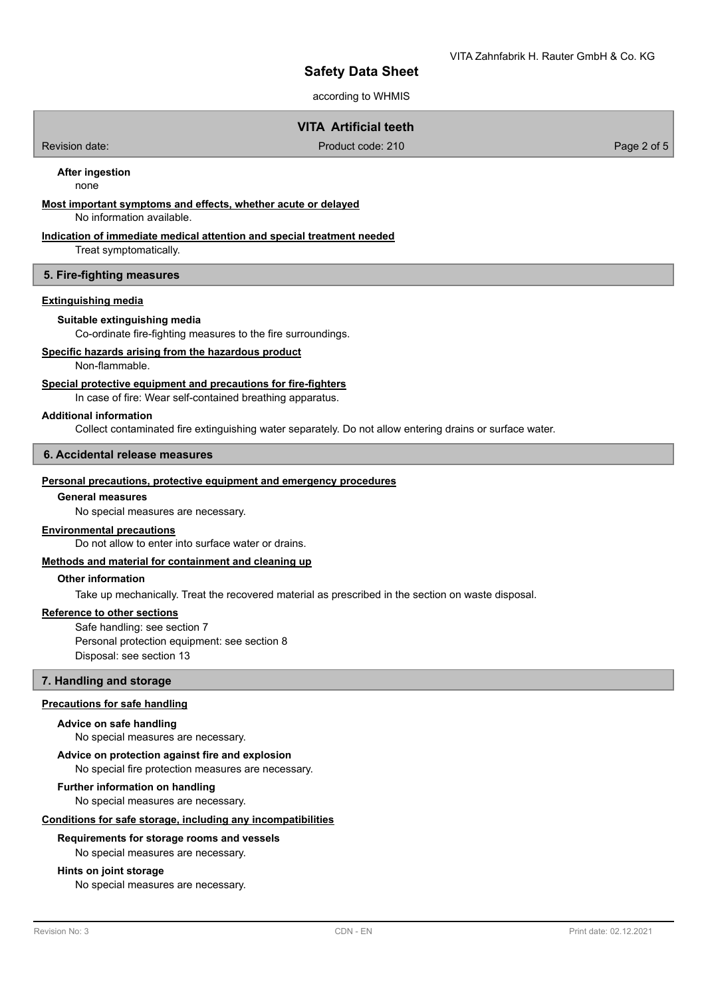according to WHMIS

# **VITA Artificial teeth**

Revision date: Product code: 210 Product code: 210 Page 2 of 5

**After ingestion**

none

## **Most important symptoms and effects, whether acute or delayed**

No information available.

## **Indication of immediate medical attention and special treatment needed**

Treat symptomatically.

## **5. Fire-fighting measures**

## **Extinguishing media**

#### **Suitable extinguishing media**

Co-ordinate fire-fighting measures to the fire surroundings.

## **Specific hazards arising from the hazardous product**

Non-flammable.

## **Special protective equipment and precautions for fire-fighters**

In case of fire: Wear self-contained breathing apparatus.

#### **Additional information**

Collect contaminated fire extinguishing water separately. Do not allow entering drains or surface water.

## **6. Accidental release measures**

#### **Personal precautions, protective equipment and emergency procedures**

## **General measures**

No special measures are necessary.

## **Environmental precautions**

Do not allow to enter into surface water or drains.

#### **Methods and material for containment and cleaning up**

## **Other information**

Take up mechanically. Treat the recovered material as prescribed in the section on waste disposal.

#### **Reference to other sections**

Safe handling: see section 7 Personal protection equipment: see section 8 Disposal: see section 13

#### **7. Handling and storage**

#### **Precautions for safe handling**

#### **Advice on safe handling**

No special measures are necessary.

#### **Advice on protection against fire and explosion**

No special fire protection measures are necessary.

## **Further information on handling**

No special measures are necessary.

#### **Conditions for safe storage, including any incompatibilities**

## **Requirements for storage rooms and vessels**

No special measures are necessary.

## **Hints on joint storage**

No special measures are necessary.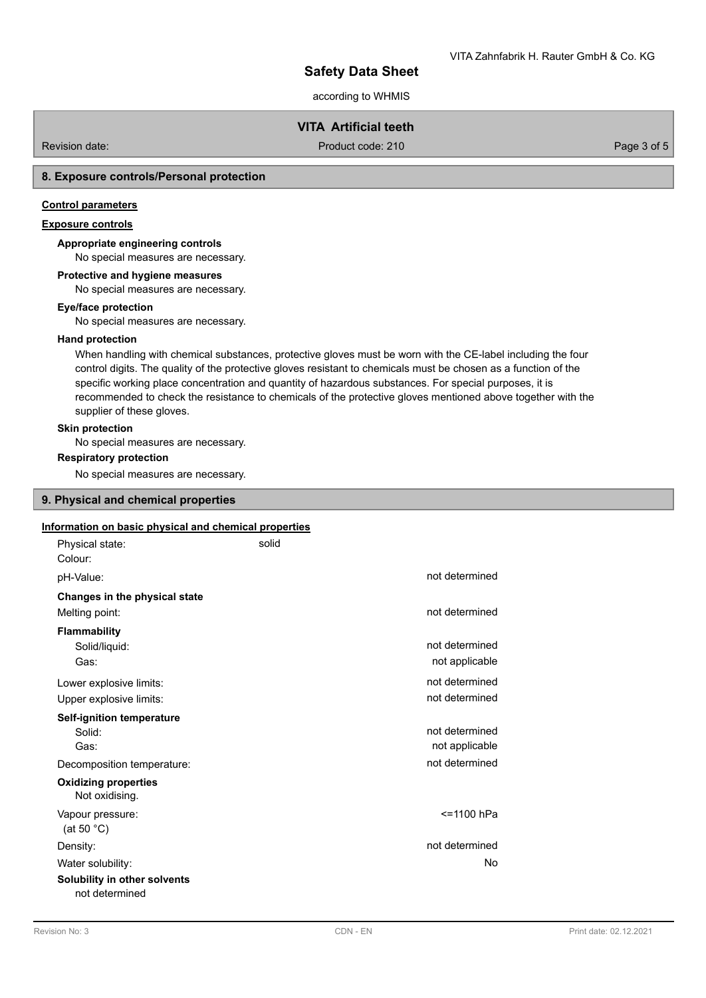according to WHMIS

# **VITA Artificial teeth**

Revision date: Product code: 210 Product code: 210 Page 3 of 5

## **8. Exposure controls/Personal protection**

## **Control parameters**

# **Exposure controls**

# **Appropriate engineering controls**

No special measures are necessary.

# **Protective and hygiene measures**

No special measures are necessary.

#### **Eye/face protection**

No special measures are necessary.

## **Hand protection**

When handling with chemical substances, protective gloves must be worn with the CE-label including the four control digits. The quality of the protective gloves resistant to chemicals must be chosen as a function of the specific working place concentration and quantity of hazardous substances. For special purposes, it is recommended to check the resistance to chemicals of the protective gloves mentioned above together with the supplier of these gloves.

## **Skin protection**

No special measures are necessary.

## **Respiratory protection**

No special measures are necessary.

## **9. Physical and chemical properties**

## **Information on basic physical and chemical properties**

| Physical state:<br>Colour:                         | solid |                                  |
|----------------------------------------------------|-------|----------------------------------|
| pH-Value:                                          |       | not determined                   |
| Changes in the physical state                      |       |                                  |
| Melting point:                                     |       | not determined                   |
| <b>Flammability</b><br>Solid/liquid:<br>Gas:       |       | not determined<br>not applicable |
| Lower explosive limits:                            |       | not determined                   |
| Upper explosive limits:                            |       | not determined                   |
| <b>Self-ignition temperature</b><br>Solid:<br>Gas: |       | not determined<br>not applicable |
| Decomposition temperature:                         |       | not determined                   |
| <b>Oxidizing properties</b><br>Not oxidising.      |       |                                  |
| Vapour pressure:<br>(at 50 $^{\circ}$ C)           |       | <=1100 hPa                       |
| Density:                                           |       | not determined                   |
| Water solubility:                                  |       | No                               |
| Solubility in other solvents<br>not determined     |       |                                  |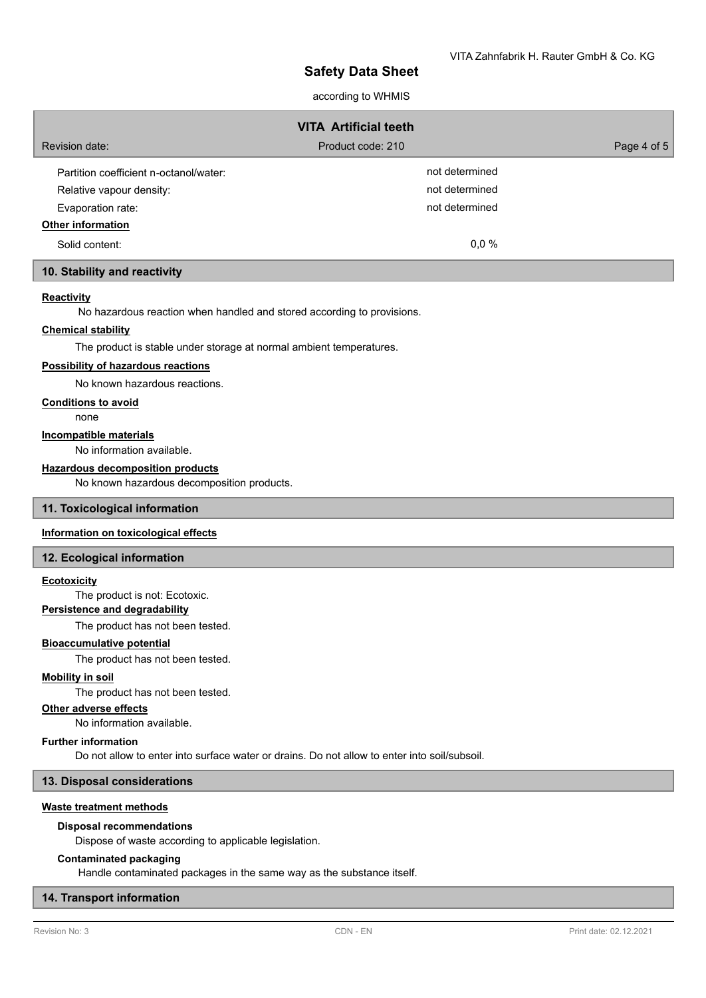## according to WHMIS

| <b>VITA Artificial teeth</b>           |                   |             |  |  |
|----------------------------------------|-------------------|-------------|--|--|
| Revision date:                         | Product code: 210 | Page 4 of 5 |  |  |
| Partition coefficient n-octanol/water: | not determined    |             |  |  |
| Relative vapour density:               | not determined    |             |  |  |
| Evaporation rate:                      | not determined    |             |  |  |
| <b>Other information</b>               |                   |             |  |  |
| Solid content:                         | 0.0 %             |             |  |  |

## **10. Stability and reactivity**

## **Reactivity**

No hazardous reaction when handled and stored according to provisions.

# **Chemical stability**

The product is stable under storage at normal ambient temperatures.

# **Possibility of hazardous reactions**

No known hazardous reactions.

## **Conditions to avoid**

none

#### **Incompatible materials**

No information available.

## **Hazardous decomposition products**

No known hazardous decomposition products.

#### **11. Toxicological information**

## **Information on toxicological effects**

#### **12. Ecological information**

#### **Ecotoxicity**

The product is not: Ecotoxic.

## **Persistence and degradability**

The product has not been tested.

#### **Bioaccumulative potential**

The product has not been tested.

#### **Mobility in soil**

The product has not been tested.

#### **Other adverse effects**

No information available.

#### **Further information**

Do not allow to enter into surface water or drains. Do not allow to enter into soil/subsoil.

## **13. Disposal considerations**

#### **Waste treatment methods**

#### **Disposal recommendations**

Dispose of waste according to applicable legislation.

#### **Contaminated packaging**

Handle contaminated packages in the same way as the substance itself.

## **14. Transport information**